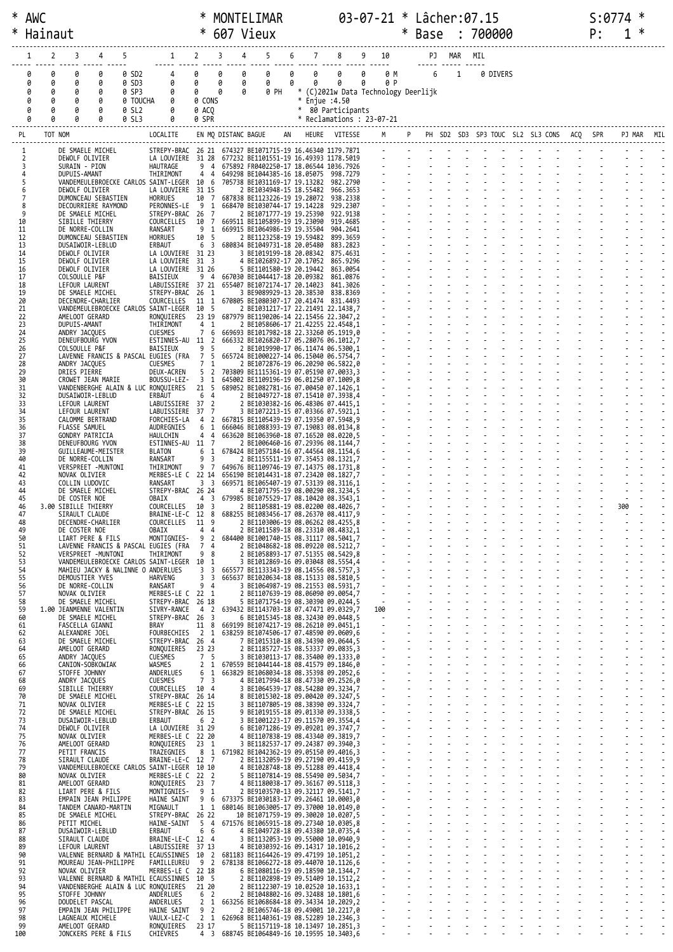| ∗        | Hainaut |         |                                                            |                   |                                                                                                                      |                                  |                  | * 607 Vieux                                                                       |   |               |                      |                                                                                                                                                                                                                                                                                                                                                                                                                                                | <b>Base</b> |            |                             | 700000 |                               |  | P: |     | ∗          |  |
|----------|---------|---------|------------------------------------------------------------|-------------------|----------------------------------------------------------------------------------------------------------------------|----------------------------------|------------------|-----------------------------------------------------------------------------------|---|---------------|----------------------|------------------------------------------------------------------------------------------------------------------------------------------------------------------------------------------------------------------------------------------------------------------------------------------------------------------------------------------------------------------------------------------------------------------------------------------------|-------------|------------|-----------------------------|--------|-------------------------------|--|----|-----|------------|--|
|          |         | 2       | 3<br>4                                                     | 5                 | $1 \quad$                                                                                                            | $\overline{2}$                   | 3                | 5<br>4                                                                            | 6 | 7             | $8 -$                | 9 10                                                                                                                                                                                                                                                                                                                                                                                                                                           |             |            | PJ MAR                      | MIL    |                               |  |    |     |            |  |
|          | 0       |         | 0<br>0                                                     | 0 SD2             | $4 \quad$                                                                                                            | 0                                | 0<br>0           | 0                                                                                 | 0 | 0             | $\theta$             | 0<br>0 M                                                                                                                                                                                                                                                                                                                                                                                                                                       |             | $6\qquad1$ |                             |        | 0 DIVERS                      |  |    |     |            |  |
|          | 0<br>0  | 0<br>0  | 0<br>0<br>0<br>0                                           | 0 SD3<br>0 SP3    | 0<br>0                                                                                                               | 0<br>0                           | 0<br>0<br>0<br>0 | 0<br>0 PH                                                                         | 0 | 0             | 0                    | 0<br>0 P<br>* (C)2021w Data Technology Deerlijk                                                                                                                                                                                                                                                                                                                                                                                                |             |            |                             |        |                               |  |    |     |            |  |
|          | 0       | 0       | ø<br>0<br>0                                                | 0 TOUCHA<br>0 SL2 | 0<br>0                                                                                                               | 0 CONS<br>0 ACO                  |                  |                                                                                   |   | * Enjue :4.50 | * 80 Participants    |                                                                                                                                                                                                                                                                                                                                                                                                                                                |             |            |                             |        |                               |  |    |     |            |  |
|          |         |         | 0                                                          | 0 SL3             | 0                                                                                                                    | 0 SPR                            |                  |                                                                                   |   |               |                      | $*$ Reclamations : 23-07-21                                                                                                                                                                                                                                                                                                                                                                                                                    |             |            |                             |        |                               |  |    |     |            |  |
| PL       |         | TOT NOM |                                                            |                   | LOCALITE                                                                                                             |                                  |                  | EN MQ DISTANC BAGUE AN HEURE VITESSE M P PH SD2 SD3 SP3 TOUC SL2 SL3 CONS ACQ SPR |   |               |                      |                                                                                                                                                                                                                                                                                                                                                                                                                                                |             |            |                             |        |                               |  |    |     | PJ MAR MIL |  |
|          |         |         | DE SMAELE MICHEL<br>DEWOLF OLIVIER                         |                   | STREPY-BRAC 26 21 674327 BE1071715-19 16.46340 1179.7871<br>LA LOUVIERE 31 28 677232 BE1101551-19 16.49393 1178.5019 |                                  |                  |                                                                                   |   |               |                      |                                                                                                                                                                                                                                                                                                                                                                                                                                                |             |            |                             |        |                               |  |    |     |            |  |
|          |         |         | SURAIN - PION<br>DUPUIS-AMANT                              |                   | HAUTRAGE<br>THIRIMONT                                                                                                | 94<br>44                         |                  | 675892 FR0402250-17 18.06544 1036.7926<br>649298 BE1044385-16 18.05075 998.7279   |   |               |                      | $\sim$                                                                                                                                                                                                                                                                                                                                                                                                                                         |             |            |                             |        | and the contract of the state |  |    |     |            |  |
| 5        |         |         | DEWOLF OLIVIER                                             |                   | VANDEMEULEBROECKE CARLOS SAINT-LEGER 10 6<br>LA LOUVIERE                                                             | 31 15                            |                  | 705738 BE1031169-17 19.13282 982.2790<br>2 BE1034948-15 18.55482                  |   |               | 966, 3653            |                                                                                                                                                                                                                                                                                                                                                                                                                                                |             |            |                             |        |                               |  |    |     |            |  |
| 8        |         |         | DUMONCEAU SEBASTIEN                                        |                   | <b>HORRUES</b><br>PERONNES-LE                                                                                        | 10 7<br>- 9<br>1                 |                  | 687838 BE1123226-19 19.28072<br>668470 BE1030744-17 19.14228                      |   |               | 938.2338<br>929,2307 |                                                                                                                                                                                                                                                                                                                                                                                                                                                |             |            |                             |        |                               |  |    |     |            |  |
| 9<br>10  |         |         | DECOURRIERE RAYMOND<br>DE SMAELE MICHEL<br>SIBILLE THIERRY |                   | STREPY-BRAC 26<br>COURCELLES                                                                                         | $\overline{7}$<br>10 7           |                  | 2 BE1071777-19 19.25390                                                           |   |               | 922.9138<br>919.4685 |                                                                                                                                                                                                                                                                                                                                                                                                                                                |             |            |                             |        |                               |  |    |     |            |  |
| 11       |         |         | DE NORRE-COLLIN                                            |                   | RANSART                                                                                                              | 9 <sub>1</sub><br>10 5           |                  | 669511 BE1105899-19 19.23090<br>669915 BE1064986-19 19.35504                      |   |               | 904.2641             |                                                                                                                                                                                                                                                                                                                                                                                                                                                |             |            |                             |        |                               |  |    |     |            |  |
| 12<br>13 |         |         | DUMONCEAU SEBASTIEN<br>DUSAIWOIR-LEBLUD                    |                   | <b>HORRUES</b><br>ERBAUT                                                                                             | 6 3                              |                  | 2 BE1123258-19 19.59482 899.3659<br>680834 BE1049731-18 20.05480                  |   |               | 883.2823             |                                                                                                                                                                                                                                                                                                                                                                                                                                                |             |            |                             |        |                               |  |    |     |            |  |
| 14<br>15 |         |         | DEWOLF OLIVIER<br>DEWOLF OLIVIER                           |                   | LA LOUVIERE 31 23<br>LA LOUVIERE                                                                                     | $31 \quad 3$                     |                  | 3 BE1019199-18 20.08342 875.4631<br>4 BE1026892-17 20.17052                       |   |               | 865.9296             |                                                                                                                                                                                                                                                                                                                                                                                                                                                |             |            |                             |        |                               |  |    |     |            |  |
| 16<br>17 |         |         | DEWOLF OLIVIER<br>COLSOULLE P&F                            |                   | LA LOUVIERE<br>BAISIEUX                                                                                              | 31 26<br>94                      |                  | 5 BE1101580-19 20.19442<br>667030 BE1044417-18 20.09382                           |   |               | 863.0054<br>861.0876 |                                                                                                                                                                                                                                                                                                                                                                                                                                                |             |            |                             |        |                               |  |    |     |            |  |
| 18<br>19 |         |         | LEFOUR LAURENT<br>DE SMAELE MICHEL                         |                   | LABUISSIERE 37 21<br>STREPY-BRAC 26                                                                                  | - 1                              |                  | 655407 BE1072174-17 20.14023<br>3 BE9089929-13 20.38530 838.8369                  |   |               | 841.3026             |                                                                                                                                                                                                                                                                                                                                                                                                                                                |             |            |                             |        |                               |  |    |     |            |  |
| 20<br>21 |         |         | DECENDRE-CHARLIER                                          |                   | COURCELLES 11 1<br>VANDEMEULEBROECKE CARLOS SAINT-LEGER 10 5                                                         |                                  |                  | 670805 BE1080307-17 20.41474 831.4493<br>2 BE1031217-17 22.21491 22.1438,7        |   |               |                      |                                                                                                                                                                                                                                                                                                                                                                                                                                                |             |            |                             |        |                               |  |    |     |            |  |
| 22<br>23 |         |         | AMELOOT GERARD<br>DUPUIS-AMANT                             |                   | RONQUIERES<br>THIRIMONT                                                                                              | 23 19<br>$4 \quad 1$             |                  | 687979 BE1190206-14 22.15456 22.3047,2<br>2 BE1058606-17 21.42255 22.4548,1       |   |               |                      |                                                                                                                                                                                                                                                                                                                                                                                                                                                |             |            |                             |        |                               |  |    |     |            |  |
| 24<br>25 |         |         | ANDRY JACQUES<br>DENEUFBOURG YVON                          |                   | <b>CUESMES</b><br>ESTINNES-AU 11 2                                                                                   | $7^{\circ}$<br>6                 |                  | 669693 BE1017982-18 22.33260 05.1919,0<br>666332 BE1026820-17 05.28076 06.1012,7  |   |               |                      |                                                                                                                                                                                                                                                                                                                                                                                                                                                |             |            |                             |        |                               |  |    |     |            |  |
| 26<br>27 |         |         | COLSOULLE P&F                                              |                   | BAISIEUX<br>LAVENNE FRANCIS & PASCAL EUGIES (FRA                                                                     | 9 5<br>7 5                       |                  | 2 BE1019990-17 06.11474 06.5300,1<br>665724 BE1000227-14 06.15040 06.5754,7       |   |               |                      | $\frac{1}{2}$ .                                                                                                                                                                                                                                                                                                                                                                                                                                |             |            |                             |        |                               |  |    |     |            |  |
| 28<br>29 |         |         | ANDRY JACQUES<br>DRIES PIERRE                              |                   | CUESMES<br>DEUX-ACREN                                                                                                | 7 1<br>5 2                       |                  | 2 BE1072876-19 06.20290 06.5822,0<br>703809 BE1115361-19 07.05190 07.0033,3       |   |               |                      |                                                                                                                                                                                                                                                                                                                                                                                                                                                |             |            |                             |        |                               |  |    |     |            |  |
| 30<br>31 |         |         | CROWET JEAN MARIE<br>VANDENBERGHE ALAIN & LUC RONQUIERES   |                   | BOUSSU-LEZ-                                                                                                          | 3 <sub>1</sub><br>21 5           |                  | 645002 BE1109196-19 06.01250 07.1009,8<br>689052 BE1082781-16 07.00450 07.1426,1  |   |               |                      |                                                                                                                                                                                                                                                                                                                                                                                                                                                |             |            |                             |        |                               |  |    |     |            |  |
| 32<br>33 |         |         | DUSAIWOIR-LEBLUD<br>LEFOUR LAURENT                         |                   | ERBAUT<br>LABUISSIERE 37 2                                                                                           | 6<br>$\overline{4}$              |                  | 2 BE1049727-18 07.15410 07.3938,4<br>2 BE1030382-16 06.48306 07.4415,1            |   |               |                      | $\omega_{\rm{max}}$                                                                                                                                                                                                                                                                                                                                                                                                                            |             |            |                             |        |                               |  |    |     |            |  |
| 34<br>35 |         |         | LEFOUR LAURENT<br>CALOMME BERTRAND                         |                   | LABUISSIERE<br>FORCHIES-LA                                                                                           | 37 7<br>4 <sub>2</sub>           |                  | 3 BE1072213-15 07.03366 07.5921,1<br>667815 BE1105439-19 07.19350 07.5948,9       |   |               |                      |                                                                                                                                                                                                                                                                                                                                                                                                                                                |             |            |                             |        |                               |  |    |     |            |  |
| 36<br>37 |         |         | FLASSE SAMUEL<br>GONDRY PATRICIA                           |                   | AUDREGNIES<br>HAULCHIN                                                                                               | 6<br>-1<br>44                    |                  | 666046 BE1088393-19 07.19083 08.0134,8<br>663620 BE1063960-18 07.16520 08.0220,5  |   |               |                      |                                                                                                                                                                                                                                                                                                                                                                                                                                                |             |            |                             |        |                               |  |    |     |            |  |
| 38<br>39 |         |         | DENEUFBOURG YVON<br>GUILLEAUME-MEISTER                     |                   | ESTINNES-AU 11 7<br><b>BLATON</b>                                                                                    | 6<br>1                           |                  | 2 BE1006460-16 07.29396 08.1144,7                                                 |   |               |                      | $\omega$ .                                                                                                                                                                                                                                                                                                                                                                                                                                     |             |            |                             |        |                               |  |    |     |            |  |
| 40       |         |         | DE NORRE-COLLIN                                            |                   | RANSART                                                                                                              | 9 3                              |                  | 678424 BE1057184-16 07.44564 08.1154,6<br>2 BE1155511-19 07.35453 08.1321,7       |   |               |                      |                                                                                                                                                                                                                                                                                                                                                                                                                                                |             |            |                             |        |                               |  |    |     |            |  |
| 41<br>42 |         |         | VERSPREET -MUNTONI<br>NOVAK OLIVIER                        |                   | THIRIMONT<br>MERBES-LE C 22 14                                                                                       | 9 7                              |                  | 649676 BE1109746-19 07.14375 08.1731,8<br>656190 BE1014431-18 07.23420 08.1827,7  |   |               |                      |                                                                                                                                                                                                                                                                                                                                                                                                                                                |             |            |                             |        |                               |  |    |     |            |  |
| 43<br>44 |         |         | COLLIN LUDOVIC<br>DE SMAELE MICHEL                         |                   | RANSART<br>STREPY-BRAC 26 24                                                                                         | 3 <sup>3</sup>                   |                  | 669571 BE1065407-19 07.53139 08.3116,1<br>4 BE1071795-19 08.00290 08.3234,5       |   |               |                      |                                                                                                                                                                                                                                                                                                                                                                                                                                                |             |            |                             |        |                               |  |    |     |            |  |
| 45<br>46 |         |         | DE COSTER NOE<br>3.00 SIBILLE THIERRY                      |                   | OBAIX<br>COURCELLES                                                                                                  | 4 3<br>10 3                      |                  | 679985 BE1075529-17 08.10420 08.3543,1<br>2 BE1105881-19 08.02200 08.4026,7       |   |               |                      |                                                                                                                                                                                                                                                                                                                                                                                                                                                |             |            |                             |        |                               |  |    | 300 |            |  |
| 47<br>48 |         |         | SIRAULT CLAUDE<br>DECENDRE-CHARLIER                        |                   | BRAINE-LE-C 12 8<br>COURCELLES                                                                                       | 11 9                             |                  | 688255 BE1083456-17 08.26370 08.4117,9<br>2 BE1103006-19 08.06262 08.4255,8       |   |               |                      |                                                                                                                                                                                                                                                                                                                                                                                                                                                |             |            |                             |        |                               |  |    |     |            |  |
| 49<br>50 |         |         | DE COSTER NOE<br>LIART PERE & FILS                         |                   | OBAIX<br>MONTIGNIES-                                                                                                 | 44<br>9<br>$\overline{2}$        |                  | 2 BE1011589-18 08.23310 08.4832,1<br>684400 BE1001740-15 08.31117 08.5041,7       |   |               |                      |                                                                                                                                                                                                                                                                                                                                                                                                                                                |             |            |                             |        |                               |  |    |     |            |  |
| 51<br>52 |         |         | VERSPREET -MUNTONI                                         |                   | LAVENNE FRANCIS & PASCAL EUGIES (FRA<br>THIRIMONT                                                                    | 7 4<br>9 8                       |                  | 2 BE1048682-18 08.09220 08.5212,7<br>2 BE1058893-17 07.51355 08.5429,8            |   |               |                      |                                                                                                                                                                                                                                                                                                                                                                                                                                                |             |            |                             |        |                               |  |    |     |            |  |
| 53<br>54 |         |         | MAHIEU JACKY & NALINNE O ANDERLUES                         |                   | VANDEMEULEBROECKE CARLOS SAINT-LEGER 10 1                                                                            | 3 <sup>3</sup>                   |                  | 3 BE1012869-16 09.03048 08.5554,4<br>665577 BE1133343-19 08.14556 08.5757,3       |   |               |                      |                                                                                                                                                                                                                                                                                                                                                                                                                                                |             |            |                             |        |                               |  |    |     |            |  |
| 55<br>56 |         |         | DEMOUSTIER YVES<br>DE NORRE-COLLIN                         |                   | HARVENG<br>RANSART                                                                                                   | 3 <sup>3</sup><br>94             |                  | 665637 BE1020634-18 08.15133 08.5810,5<br>3 BE1064987-19 08.21553 08.5931,7       |   |               |                      |                                                                                                                                                                                                                                                                                                                                                                                                                                                |             |            |                             |        |                               |  |    |     |            |  |
| 57<br>58 |         |         | NOVAK OLIVIER<br>DE SMAELE MICHEL                          |                   | MERBES-LE C 22 1<br>STREPY-BRAC 26 18                                                                                |                                  |                  | 2 BE1107639-19 08.06090 09.0054,7<br>5 BE1071754-19 08.30390 09.0244,5            |   |               |                      |                                                                                                                                                                                                                                                                                                                                                                                                                                                |             |            |                             |        |                               |  |    |     |            |  |
| 59<br>60 |         |         | 1.00 JEANMENNE VALENTIN<br>DE SMAELE MICHEL                |                   | SIVRY-RANCE<br>STREPY-BRAC 26 3                                                                                      | 4 2                              |                  | 639432 BE1143703-18 07.47471 09.0329,7<br>6 BE1015345-18 08.32430 09.0448,5       |   |               |                      | 100<br>$\sim 100$                                                                                                                                                                                                                                                                                                                                                                                                                              |             |            |                             |        |                               |  |    |     |            |  |
| 61<br>62 |         |         | FASCELLA GIANNI<br>ALEXANDRE JOEL                          |                   | <b>BRAY</b><br>FOURBECHIES                                                                                           | 11 8<br>$\overline{2}$<br>1      |                  | 669199 BE1074217-19 08.26210 09.0451,1<br>638259 BE1074506-17 07.48590 09.0609,6  |   |               |                      |                                                                                                                                                                                                                                                                                                                                                                                                                                                |             |            |                             |        |                               |  |    |     |            |  |
| 63<br>64 |         |         | DE SMAELE MICHEL<br>AMELOOT GERARD                         |                   | STREPY-BRAC 26 4<br>RONQUIERES                                                                                       | 23 23                            |                  | 7 BE1015310-18 08.34390 09.0644,5<br>2 BE1185727-15 08.53337 09.0835,3            |   |               |                      |                                                                                                                                                                                                                                                                                                                                                                                                                                                |             |            |                             |        |                               |  |    |     |            |  |
| 65<br>66 |         |         | ANDRY JACQUES<br>CANION-SOBKOWIAK                          |                   | <b>CUESMES</b><br>WASMES                                                                                             | 7 <sub>5</sub><br>2 <sub>1</sub> |                  | 3 BE1030113-17 08.35400 09.1333,0<br>670559 BE1044144-18 08.41579 09.1846,0       |   |               |                      |                                                                                                                                                                                                                                                                                                                                                                                                                                                |             |            |                             |        |                               |  |    |     |            |  |
| 67<br>68 |         |         | STOFFE JOHNNY<br>ANDRY JACQUES                             |                   | ANDERLUES<br>CUESMES                                                                                                 | 6<br>1<br>7 <sup>3</sup>         |                  | 663829 BE1068034-18 08.35398 09.2052,6<br>4 BE1017994-18 08.47330 09.2526,0       |   |               |                      | $\label{eq:2.1} \begin{split} \frac{1}{\sqrt{2}}\frac{1}{\sqrt{2}}\frac{1}{\sqrt{2}}\frac{1}{\sqrt{2}}\frac{1}{\sqrt{2}}\frac{1}{\sqrt{2}}\frac{1}{\sqrt{2}}\frac{1}{\sqrt{2}}\frac{1}{\sqrt{2}}\frac{1}{\sqrt{2}}\frac{1}{\sqrt{2}}\frac{1}{\sqrt{2}}\frac{1}{\sqrt{2}}\frac{1}{\sqrt{2}}\frac{1}{\sqrt{2}}\frac{1}{\sqrt{2}}\frac{1}{\sqrt{2}}\frac{1}{\sqrt{2}}\frac{1}{\sqrt{2}}\frac{1}{\sqrt{2}}\frac{1}{\$                              |             |            |                             |        |                               |  |    |     |            |  |
| 69<br>70 |         |         | SIBILLE THIERRY<br>DE SMAELE MICHEL                        |                   | COURCELLES 10 4<br>STREPY-BRAC 26 14                                                                                 |                                  |                  | 3 BE1064539-17 08.54280 09.3234,7<br>8 BE1015302-18 09.00420 09.3247,5            |   |               |                      |                                                                                                                                                                                                                                                                                                                                                                                                                                                |             |            | $\mathcal{L}^{\mathcal{L}}$ |        |                               |  |    |     |            |  |
| 71<br>72 |         |         | NOVAK OLIVIER<br>DE SMAELE MICHEL                          |                   | MERBES-LE C 22 15<br>STREPY-BRAC 26 15                                                                               |                                  |                  | 3 BE1107805-19 08.38390 09.3324,7                                                 |   |               |                      |                                                                                                                                                                                                                                                                                                                                                                                                                                                |             |            |                             |        |                               |  |    |     |            |  |
| 73       |         |         | DUSAIWOIR-LEBLUD                                           |                   | ERBAUT                                                                                                               | 6 <sup>2</sup>                   |                  | 9 BE1019155-18 09.01330 09.3338,5<br>3 BE1001223-17 09.11570 09.3554,4            |   |               |                      |                                                                                                                                                                                                                                                                                                                                                                                                                                                |             |            |                             |        |                               |  |    |     |            |  |
| 74<br>75 |         |         | DEWOLF OLIVIER<br>NOVAK OLIVIER                            |                   | LA LOUVIERE 31 29<br>MERBES-LE C 22 20                                                                               |                                  |                  | 6 BE1071286-19 09.09201 09.3747,7<br>4 BE1107838-19 08.43340 09.3819,7            |   |               |                      |                                                                                                                                                                                                                                                                                                                                                                                                                                                |             |            |                             |        |                               |  |    |     |            |  |
| 76<br>77 |         |         | AMELOOT GERARD<br>PETIT FRANCIS                            |                   | RONQUIERES<br>TRAZEGNIES                                                                                             | $23 \quad 1$<br>8 1              |                  | 3 BE1182537-17 09.24387 09.3940,3<br>671982 BE1042362-19 09.05150 09.4016,3       |   |               |                      |                                                                                                                                                                                                                                                                                                                                                                                                                                                |             |            |                             |        |                               |  |    |     |            |  |
| 78<br>79 |         |         | SIRAULT CLAUDE                                             |                   | BRAINE-LE-C 12 7<br>VANDEMEULEBROECKE CARLOS SAINT-LEGER 10 10                                                       |                                  |                  | 2 BE1132059-19 09.27190 09.4159,9<br>4 BE1028748-18 09.51288 09.4418,4            |   |               |                      |                                                                                                                                                                                                                                                                                                                                                                                                                                                |             |            |                             |        |                               |  |    |     |            |  |
| 80<br>81 |         |         | NOVAK OLIVIER<br>AMELOOT GERARD                            |                   | MERBES-LE C 22 2<br>RONOUIERES                                                                                       | 23 7                             |                  | 5 BE1107814-19 08.55490 09.5034,7<br>4 BE1180038-17 09.36167 09.5118,3            |   |               |                      |                                                                                                                                                                                                                                                                                                                                                                                                                                                |             |            | $\mathcal{L}$               |        |                               |  |    |     |            |  |
| 82<br>83 |         |         | LIART PERE & FILS<br>EMPAIN JEAN PHILIPPE                  |                   | MONTIGNIES-<br>HAINE SAINT                                                                                           | 9 <sub>1</sub><br>9 6            |                  | 2 BE9103570-13 09.32117 09.5141,7<br>673375 BE1030183-17 09.26461 10.0003,0       |   |               |                      |                                                                                                                                                                                                                                                                                                                                                                                                                                                |             |            |                             |        |                               |  |    |     |            |  |
| 84<br>85 |         |         | TANDEM CANARD-MARTIN<br>DE SMAELE MICHEL                   |                   | MIGNAULT<br>STREPY-BRAC 26 22                                                                                        | $1\quad1$                        |                  | 680146 BE1063005-17 09.37000 10.0149,0<br>10 BE1071759-19 09.30020 10.0207,5      |   |               |                      | $\label{eq:2.1} \begin{split} \frac{1}{\sqrt{2}}\left(\frac{1}{\sqrt{2}}\right)^{2} & = \frac{1}{\sqrt{2}}\left(\frac{1}{\sqrt{2}}\right)^{2} + \frac{1}{\sqrt{2}}\left(\frac{1}{\sqrt{2}}\right)^{2} + \frac{1}{\sqrt{2}}\left(\frac{1}{\sqrt{2}}\right)^{2} + \frac{1}{\sqrt{2}}\left(\frac{1}{\sqrt{2}}\right)^{2} + \frac{1}{\sqrt{2}}\left(\frac{1}{\sqrt{2}}\right)^{2} + \frac{1}{\sqrt{2}}\left(\frac{1}{\sqrt{2}}\right)^{2} + \frac$ |             |            |                             |        |                               |  |    |     |            |  |
| 86<br>87 |         |         | PETIT MICHEL<br>DUSAIWOIR-LEBLUD                           |                   | HAINE-SAINT<br>ERBAUT                                                                                                | 5 <sub>4</sub><br>6 6            |                  | 671576 BE1065915-18 09.27340 10.0305,8<br>4 BE1049728-18 09.43380 10.0735,4       |   |               |                      |                                                                                                                                                                                                                                                                                                                                                                                                                                                |             |            | $\mathcal{L}$               |        |                               |  |    |     |            |  |
| 88<br>89 |         |         | SIRAULT CLAUDE<br>LEFOUR LAURENT                           |                   | BRAINE-LE-C 12 4<br>LABUISSIERE 37 13                                                                                |                                  |                  | 3 BE1132053-19 09.55000 10.0940,9<br>4 BE1030392-16 09.14317 10.1016,2            |   |               |                      |                                                                                                                                                                                                                                                                                                                                                                                                                                                |             |            |                             |        |                               |  |    |     |            |  |
| 90<br>91 |         |         | MOUREAU JEAN-PHILIPPE                                      |                   | VALENNE BERNARD & MATHIL ECAUSSINNES 10 2 681183 BE1164426-19 09.47199 10.1051,2<br>FAMILLEUREU                      | 9 2                              |                  | 678138 BE1066272-18 09.44070 10.1126,6                                            |   |               |                      |                                                                                                                                                                                                                                                                                                                                                                                                                                                |             |            |                             |        |                               |  |    |     |            |  |
| 92<br>93 |         |         | NOVAK OLIVIER                                              |                   | MERBES-LE C 22 18<br>VALENNE BERNARD & MATHIL ECAUSSINNES 10 5                                                       |                                  |                  | 6 BE1080116-19 09.18590 10.1344,7<br>2 BE1102898-19 09.51409 10.1512,2            |   |               |                      |                                                                                                                                                                                                                                                                                                                                                                                                                                                |             |            |                             |        | and the state of the state    |  |    |     |            |  |
| 94<br>95 |         |         | VANDENBERGHE ALAIN & LUC RONQUIERES<br>STOFFE JOHNNY       |                   | ANDERLUES                                                                                                            | 21 20<br>6 <sup>2</sup>          |                  | 2 BE1122307-19 10.02520 10.1633,1<br>2 BE1048802-16 09.32488 10.1801,6            |   |               |                      |                                                                                                                                                                                                                                                                                                                                                                                                                                                |             |            |                             |        |                               |  |    |     |            |  |
| 96<br>97 |         |         | DOUDELET PASCAL<br>EMPAIN JEAN PHILIPPE                    |                   | ANDERLUES<br>HAINE SAINT                                                                                             | 2 <sub>1</sub><br>9 <sub>2</sub> |                  | 663256 BE1068684-18 09.34334 10.2029,2<br>2 BE1065746-18 09.49001 10.2217,0       |   |               |                      |                                                                                                                                                                                                                                                                                                                                                                                                                                                |             |            |                             |        |                               |  |    |     |            |  |
| 98<br>99 |         |         | LAGNEAUX MICHELE                                           |                   | VAULX-LEZ-C<br>RONOUIERES                                                                                            | 2 1                              |                  | 626968 BE1140361-19 08.52289 10.2346,3                                            |   |               |                      |                                                                                                                                                                                                                                                                                                                                                                                                                                                |             |            |                             |        |                               |  |    |     |            |  |
| 100      |         |         | AMELOOT GERARD<br>JONCKERS PERE & FILS                     |                   | CHIEVRES                                                                                                             | 23 17                            |                  | 5 BE1157119-18 10.13497 10.2851,3<br>4 3 688745 BE1064849-16 10.19595 10.3403.6   |   |               |                      |                                                                                                                                                                                                                                                                                                                                                                                                                                                |             |            |                             |        |                               |  |    |     |            |  |

\* AWC \* MONTELIMAR 03-07-21 \* Lâcher:07.15 S:0774 \*